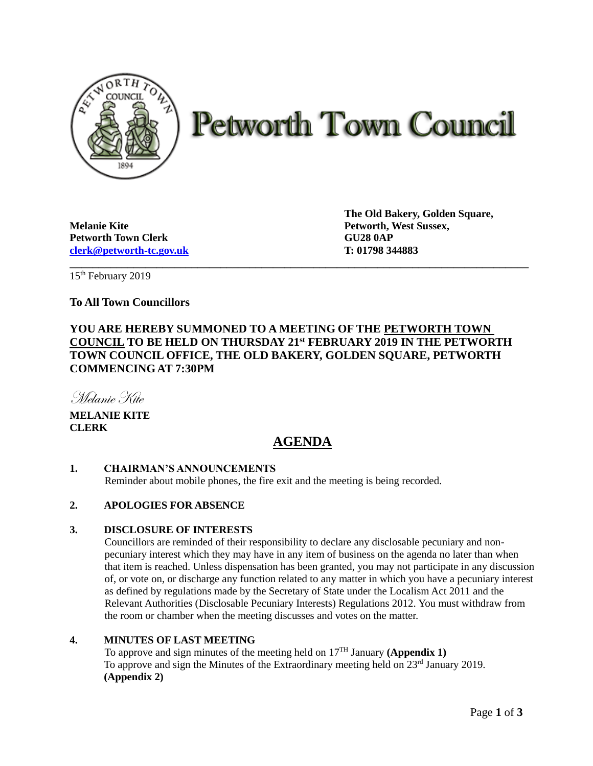

# **Petworth Town Council**

**Melanie Kite Petworth, West Sussex, Petworth Town Clerk GU28 0AP [clerk@petworth-tc.gov.uk](mailto:clerk@petworth-tc.gov.uk) T: 01798 344883**

**The Old Bakery, Golden Square,**

15 th February 2019

# **To All Town Councillors**

# **YOU ARE HEREBY SUMMONED TO A MEETING OF THE PETWORTH TOWN COUNCIL TO BE HELD ON THURSDAY 21st FEBRUARY 2019 IN THE PETWORTH TOWN COUNCIL OFFICE, THE OLD BAKERY, GOLDEN SQUARE, PETWORTH COMMENCING AT 7:30PM**

**\_\_\_\_\_\_\_\_\_\_\_\_\_\_\_\_\_\_\_\_\_\_\_\_\_\_\_\_\_\_\_\_\_\_\_\_\_\_\_\_\_\_\_\_\_\_\_\_\_\_\_\_\_\_\_\_\_\_\_\_\_\_\_\_\_\_\_\_\_\_\_\_\_\_\_\_\_\_\_**

Melanie Kite

**MELANIE KITE CLERK**

# **AGENDA**

## **1. CHAIRMAN'S ANNOUNCEMENTS**

Reminder about mobile phones, the fire exit and the meeting is being recorded.

## **2. APOLOGIES FOR ABSENCE**

## **3. DISCLOSURE OF INTERESTS**

Councillors are reminded of their responsibility to declare any disclosable pecuniary and nonpecuniary interest which they may have in any item of business on the agenda no later than when that item is reached. Unless dispensation has been granted, you may not participate in any discussion of, or vote on, or discharge any function related to any matter in which you have a pecuniary interest as defined by regulations made by the Secretary of State under the Localism Act 2011 and the Relevant Authorities (Disclosable Pecuniary Interests) Regulations 2012. You must withdraw from the room or chamber when the meeting discusses and votes on the matter.

## **4. MINUTES OF LAST MEETING**

To approve and sign minutes of the meeting held on 17TH January **(Appendix 1)** To approve and sign the Minutes of the Extraordinary meeting held on 23<sup>rd</sup> January 2019. **(Appendix 2)**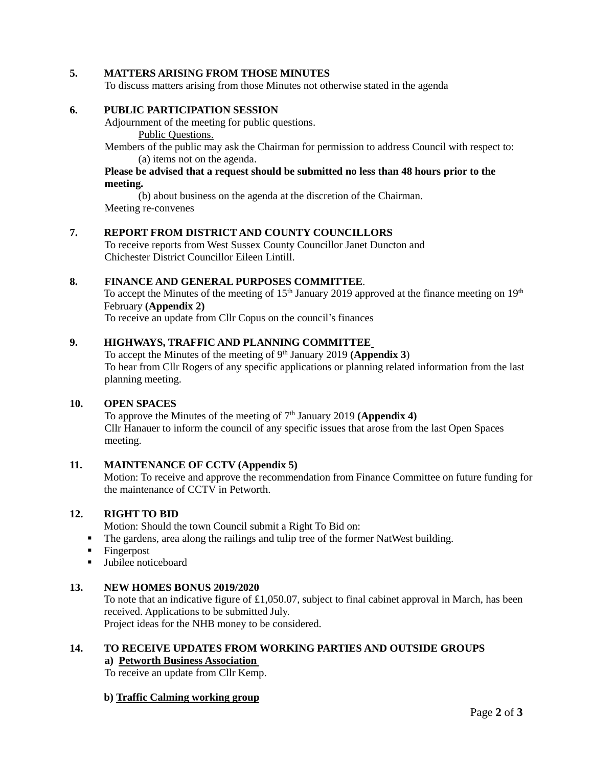## **5. MATTERS ARISING FROM THOSE MINUTES**

To discuss matters arising from those Minutes not otherwise stated in the agenda

#### **6. PUBLIC PARTICIPATION SESSION**

Adjournment of the meeting for public questions. Public Questions.

Members of the public may ask the Chairman for permission to address Council with respect to: (a) items not on the agenda.

# **Please be advised that a request should be submitted no less than 48 hours prior to the meeting.**

(b) about business on the agenda at the discretion of the Chairman. Meeting re-convenes

#### **7. REPORT FROM DISTRICT AND COUNTY COUNCILLORS**

To receive reports from West Sussex County Councillor Janet Duncton and Chichester District Councillor Eileen Lintill.

#### **8. FINANCE AND GENERAL PURPOSES COMMITTEE**.

To accept the Minutes of the meeting of  $15<sup>th</sup>$  January 2019 approved at the finance meeting on  $19<sup>th</sup>$ February **(Appendix 2)**

To receive an update from Cllr Copus on the council's finances

# **9. HIGHWAYS, TRAFFIC AND PLANNING COMMITTEE**

To accept the Minutes of the meeting of 9<sup>th</sup> January 2019 (Appendix 3) To hear from Cllr Rogers of any specific applications or planning related information from the last planning meeting.

# **10. OPEN SPACES**

To approve the Minutes of the meeting of 7<sup>th</sup> January 2019 (Appendix 4) Cllr Hanauer to inform the council of any specific issues that arose from the last Open Spaces meeting.

# **11. MAINTENANCE OF CCTV (Appendix 5)**

Motion: To receive and approve the recommendation from Finance Committee on future funding for the maintenance of CCTV in Petworth.

#### **12. RIGHT TO BID**

Motion: Should the town Council submit a Right To Bid on:

▪ The gardens, area along the railings and tulip tree of the former NatWest building.

- Fingerpost
- Jubilee noticeboard

## **13. NEW HOMES BONUS 2019/2020**

To note that an indicative figure of £1,050.07, subject to final cabinet approval in March, has been received. Applications to be submitted July.

Project ideas for the NHB money to be considered.

#### **14. TO RECEIVE UPDATES FROM WORKING PARTIES AND OUTSIDE GROUPS a) Petworth Business Association**

To receive an update from Cllr Kemp.

## **b) Traffic Calming working group**